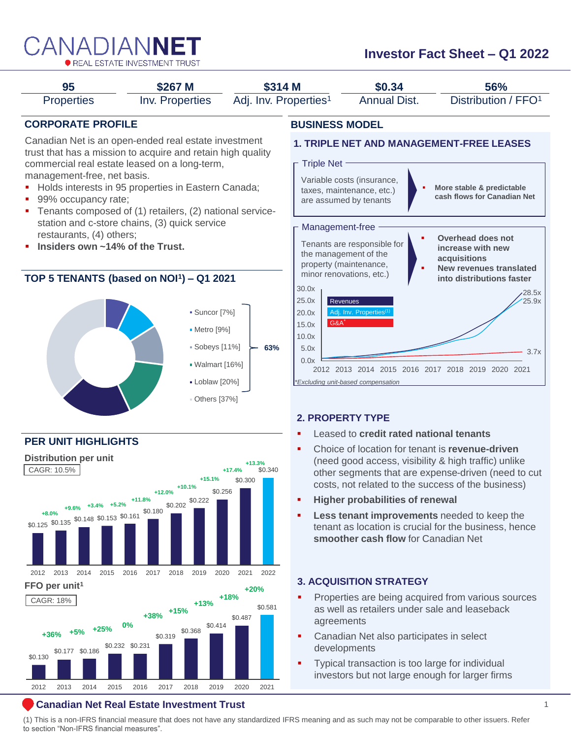

# **Investor Fact Sheet – Q1 2022**



### **Canadian Net Real Estate Investment Trust** 1

(1) This is a non-IFRS financial measure that does not have any standardized IFRS meaning and as such may not be comparable to other issuers. Refer to section "Non-IFRS financial measures".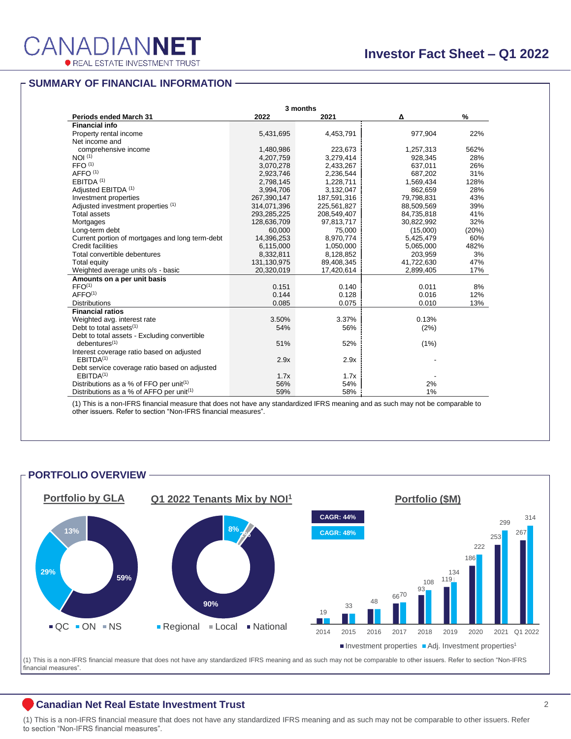314,071,396 225,561,827 88,509,569 39%

#### **SUMMARY OF FINANCIAL INFORMATION** Total assets 293,285,225 208,549,407 84,735,818 41% Adjusted investment properties (1)  $M$  of financial information  $\overline{a}$

|                                                      | 3 months    |             |            |               |
|------------------------------------------------------|-------------|-------------|------------|---------------|
| <b>Periods ended March 31</b>                        | 2022        | 2021        | Δ          | $\frac{9}{6}$ |
| <b>Financial info</b>                                |             |             |            |               |
| Property rental income                               | 5,431,695   | 4,453,791   | 977,904    | 22%           |
| Net income and                                       |             |             |            |               |
| comprehensive income                                 | 1,480,986   | 223,673     | 1,257,313  | 562%          |
| NOI <sup>(1)</sup>                                   | 4,207,759   | 3,279,414   | 928,345    | 28%           |
| FFO <sup>(1)</sup>                                   | 3,070,278   | 2,433,267   | 637,011    | 26%           |
| AFFO <sup>(1)</sup>                                  | 2,923,746   | 2,236,544   | 687,202    | 31%           |
| EBITDA <sup>(1)</sup>                                | 2,798,145   | 1,228,711   | 1,569,434  | 128%          |
| Adjusted EBITDA (1)                                  | 3,994,706   | 3,132,047   | 862,659    | 28%           |
| Investment properties                                | 267,390,147 | 187,591,316 | 79,798,831 | 43%           |
| Adjusted investment properties (1)                   | 314,071,396 | 225,561,827 | 88,509,569 | 39%           |
| <b>Total assets</b>                                  | 293,285,225 | 208,549,407 | 84,735,818 | 41%           |
| Mortgages                                            | 128,636,709 | 97,813,717  | 30,822,992 | 32%           |
| Long-term debt                                       | 60,000      | 75,000      | (15,000)   | (20%)         |
| Current portion of mortgages and long term-debt      | 14,396,253  | 8,970,774   | 5,425,479  | 60%           |
| Credit facilities                                    | 6,115,000   | 1,050,000   | 5,065,000  | 482%          |
| Total convertible debentures                         | 8,332,811   | 8,128,852   | 203,959    | 3%            |
| <b>Total equity</b>                                  | 131,130,975 | 89,408,345  | 41,722,630 | 47%           |
| Weighted average units o/s - basic                   | 20,320,019  | 17,420,614  | 2,899,405  | 17%           |
| Amounts on a per unit basis                          |             |             |            |               |
| FFO <sup>(1)</sup>                                   | 0.151       | 0.140       | 0.011      | 8%            |
| AFFO <sup>(1)</sup>                                  | 0.144       | 0.128       | 0.016      | 12%           |
| <b>Distributions</b>                                 | 0.085       | 0.075       | 0.010      | 13%           |
| <b>Financial ratios</b>                              |             |             |            |               |
| Weighted avg. interest rate                          | 3.50%       | 3.37%       | 0.13%      |               |
| Debt to total assets <sup>(1)</sup>                  | 54%         | 56%         | (2%)       |               |
| Debt to total assets - Excluding convertible         |             |             |            |               |
| debentures <sup>(1)</sup>                            | 51%         | 52%         | (1%)       |               |
| Interest coverage ratio based on adjusted            |             |             |            |               |
| EBITDA <sup>(1)</sup>                                | 2.9x        | 2.9x        |            |               |
| Debt service coverage ratio based on adjusted        |             |             |            |               |
| EBITDA <sup>(1)</sup>                                | 1.7x        | 1.7x        |            |               |
| Distributions as a % of FFO per unit <sup>(1)</sup>  | 56%         | 54%         | 2%         |               |
| Distributions as a % of AFFO per unit <sup>(1)</sup> | 59%         | 58%         | 1%         |               |

**Leasing information** (1) This is a non-IFRS financial measure that does not have any standardized IFRS meaning and as such may not be comparable to (1) The location was made the contract of the contract of the contract of the incoming and as such hay not be<br>other issues. Refer to section "Non-IFRS financial measures" other issuers. Refer to section "Non-IFRS financial measures".<br>.

Local 2% 2% -

### **PORTFOLIO OVERVIEW** Quick Service Restaurants 15% 17% (2%) Other 2% 1% 1%



(1) This is a non-IFRS financial measure that does not have any standardized IFRS meaning and as such may not be comparable to other issuers. Refer to section "Non-IFRS financial measures".

### **Canadian Net Real Estate Investment Trust** 2

(1) This is a non-IFRS financial measure that does not have any standardized IFRS meaning and as such may not be comparable to other issuers. Refer to section "Non-IFRS financial measures".